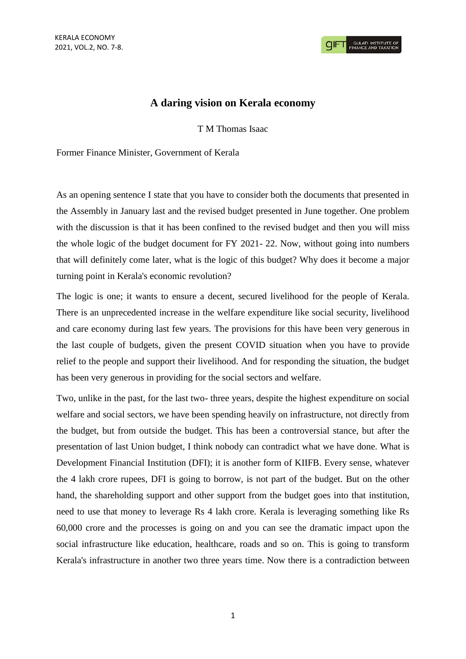## **A daring vision on Kerala economy**

T M Thomas Isaac

Former Finance Minister, Government of Kerala

As an opening sentence I state that you have to consider both the documents that presented in the Assembly in January last and the revised budget presented in June together. One problem with the discussion is that it has been confined to the revised budget and then you will miss the whole logic of the budget document for FY 2021- 22. Now, without going into numbers that will definitely come later, what is the logic of this budget? Why does it become a major turning point in Kerala's economic revolution?

The logic is one; it wants to ensure a decent, secured livelihood for the people of Kerala. There is an unprecedented increase in the welfare expenditure like social security, livelihood and care economy during last few years. The provisions for this have been very generous in the last couple of budgets, given the present COVID situation when you have to provide relief to the people and support their livelihood. And for responding the situation, the budget has been very generous in providing for the social sectors and welfare.

Two, unlike in the past, for the last two- three years, despite the highest expenditure on social welfare and social sectors, we have been spending heavily on infrastructure, not directly from the budget, but from outside the budget. This has been a controversial stance, but after the presentation of last Union budget, I think nobody can contradict what we have done. What is Development Financial Institution (DFI); it is another form of KIIFB. Every sense, whatever the 4 lakh crore rupees, DFI is going to borrow, is not part of the budget. But on the other hand, the shareholding support and other support from the budget goes into that institution, need to use that money to leverage Rs 4 lakh crore. Kerala is leveraging something like Rs 60,000 crore and the processes is going on and you can see the dramatic impact upon the social infrastructure like education, healthcare, roads and so on. This is going to transform Kerala's infrastructure in another two three years time. Now there is a contradiction between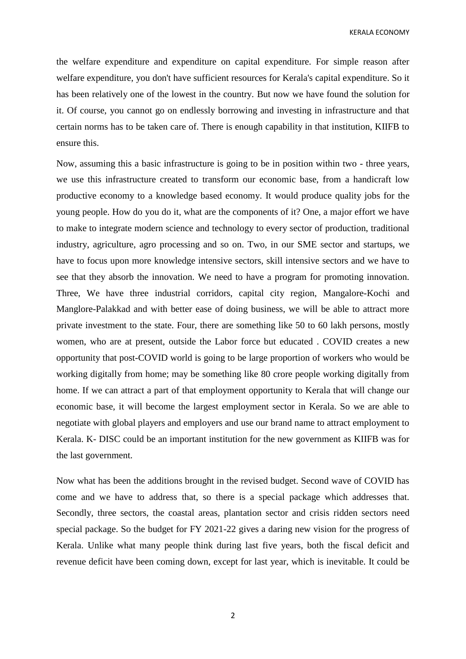KERALA ECONOMY

the welfare expenditure and expenditure on capital expenditure. For simple reason after welfare expenditure, you don't have sufficient resources for Kerala's capital expenditure. So it has been relatively one of the lowest in the country. But now we have found the solution for it. Of course, you cannot go on endlessly borrowing and investing in infrastructure and that certain norms has to be taken care of. There is enough capability in that institution, KIIFB to ensure this.

Now, assuming this a basic infrastructure is going to be in position within two - three years, we use this infrastructure created to transform our economic base, from a handicraft low productive economy to a knowledge based economy. It would produce quality jobs for the young people. How do you do it, what are the components of it? One, a major effort we have to make to integrate modern science and technology to every sector of production, traditional industry, agriculture, agro processing and so on. Two, in our SME sector and startups, we have to focus upon more knowledge intensive sectors, skill intensive sectors and we have to see that they absorb the innovation. We need to have a program for promoting innovation. Three, We have three industrial corridors, capital city region, Mangalore-Kochi and Manglore-Palakkad and with better ease of doing business, we will be able to attract more private investment to the state. Four, there are something like 50 to 60 lakh persons, mostly women, who are at present, outside the Labor force but educated . COVID creates a new opportunity that post-COVID world is going to be large proportion of workers who would be working digitally from home; may be something like 80 crore people working digitally from home. If we can attract a part of that employment opportunity to Kerala that will change our economic base, it will become the largest employment sector in Kerala. So we are able to negotiate with global players and employers and use our brand name to attract employment to Kerala. K- DISC could be an important institution for the new government as KIIFB was for the last government.

Now what has been the additions brought in the revised budget. Second wave of COVID has come and we have to address that, so there is a special package which addresses that. Secondly, three sectors, the coastal areas, plantation sector and crisis ridden sectors need special package. So the budget for FY 2021-22 gives a daring new vision for the progress of Kerala. Unlike what many people think during last five years, both the fiscal deficit and revenue deficit have been coming down, except for last year, which is inevitable. It could be